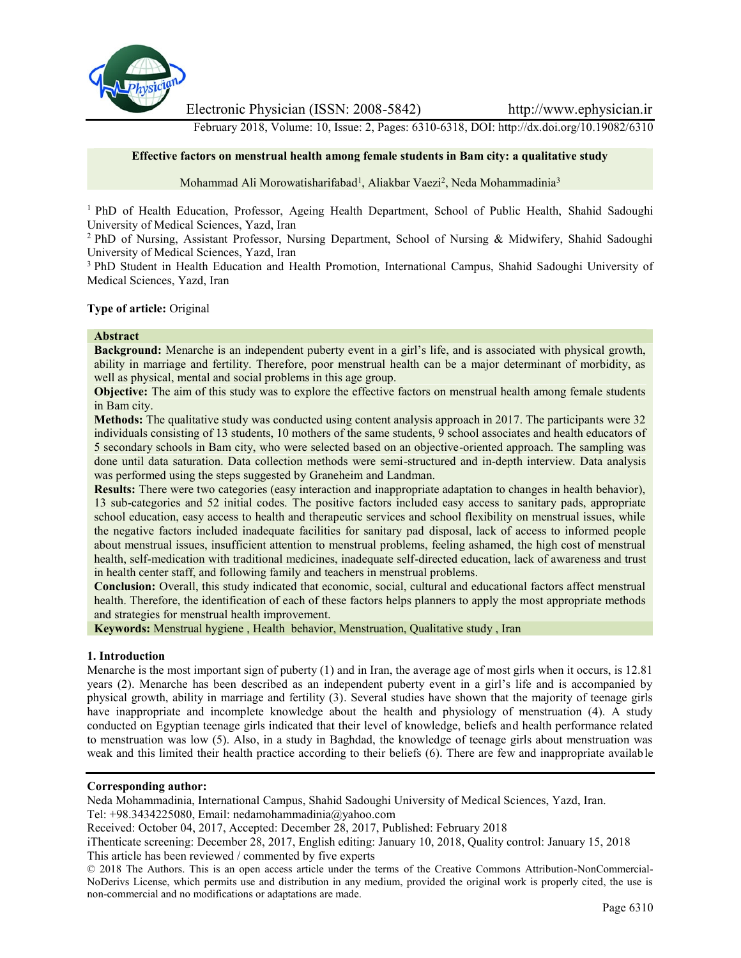

Electronic Physician (ISSN: 2008-5842) http://www.ephysician.ir

February 2018, Volume: 10, Issue: 2, Pages: 6310-6318, DOI: http://dx.doi.org/10.19082/6310

### **Effective factors on menstrual health among female students in Bam city: a qualitative study**

Mohammad Ali Morowatisharifabad<sup>1</sup>, Aliakbar Vaezi<sup>2</sup>, Neda Mohammadinia<sup>3</sup>

<sup>1</sup> PhD of Health Education, Professor, Ageing Health Department, School of Public Health, Shahid Sadoughi University of Medical Sciences, Yazd, Iran

<sup>2</sup> PhD of Nursing, Assistant Professor, Nursing Department, School of Nursing & Midwifery, Shahid Sadoughi University of Medical Sciences, Yazd, Iran

<sup>3</sup> PhD Student in Health Education and Health Promotion, International Campus, Shahid Sadoughi University of Medical Sciences, Yazd, Iran

### **Type of article:** Original

### **Abstract**

**Background:** Menarche is an independent puberty event in a girl's life, and is associated with physical growth, ability in marriage and fertility. Therefore, poor menstrual health can be a major determinant of morbidity, as well as physical, mental and social problems in this age group.

**Objective:** The aim of this study was to explore the effective factors on menstrual health among female students in Bam city.

**Methods:** The qualitative study was conducted using content analysis approach in 2017. The participants were 32 individuals consisting of 13 students, 10 mothers of the same students, 9 school associates and health educators of 5 secondary schools in Bam city, who were selected based on an objective-oriented approach. The sampling was done until data saturation. Data collection methods were semi-structured and in-depth interview. Data analysis was performed using the steps suggested by Graneheim and Landman.

**Results:** There were two categories (easy interaction and inappropriate adaptation to changes in health behavior), 13 sub-categories and 52 initial codes. The positive factors included easy access to sanitary pads, appropriate school education, easy access to health and therapeutic services and school flexibility on menstrual issues, while the negative factors included inadequate facilities for sanitary pad disposal, lack of access to informed people about menstrual issues, insufficient attention to menstrual problems, feeling ashamed, the high cost of menstrual health, self-medication with traditional medicines, inadequate self-directed education, lack of awareness and trust in health center staff, and following family and teachers in menstrual problems.

**Conclusion:** Overall, this study indicated that economic, social, cultural and educational factors affect menstrual health. Therefore, the identification of each of these factors helps planners to apply the most appropriate methods and strategies for menstrual health improvement.

**Keywords:** Menstrual hygiene , Health behavior, Menstruation, Qualitative study , Iran

### **1. Introduction**

Menarche is the most important sign of puberty (1) and in Iran, the average age of most girls when it occurs, is 12.81 years (2). Menarche has been described as an independent puberty event in a girl's life and is accompanied by physical growth, ability in marriage and fertility (3). Several studies have shown that the majority of teenage girls have inappropriate and incomplete knowledge about the health and physiology of menstruation (4). A study conducted on Egyptian teenage girls indicated that their level of knowledge, beliefs and health performance related to menstruation was low (5). Also, in a study in Baghdad, the knowledge of teenage girls about menstruation was weak and this limited their health practice according to their beliefs (6). There are few and inappropriate available

#### **Corresponding author:**

Neda Mohammadinia, International Campus, Shahid Sadoughi University of Medical Sciences, Yazd, Iran. Tel: +98.3434225080, Email: nedamohammadinia@yahoo.com

Received: October 04, 2017, Accepted: December 28, 2017, Published: February 2018

iThenticate screening: December 28, 2017, English editing: January 10, 2018, Quality control: January 15, 2018 This article has been reviewed / commented by five experts

<sup>© 2018</sup> The Authors. This is an open access article under the terms of the Creative Commons Attribution-NonCommercial- NoDerivs License, which permits use and distribution in any medium, provided the original work is properly cited, the use is non-commercial and no modifications or adaptations are made.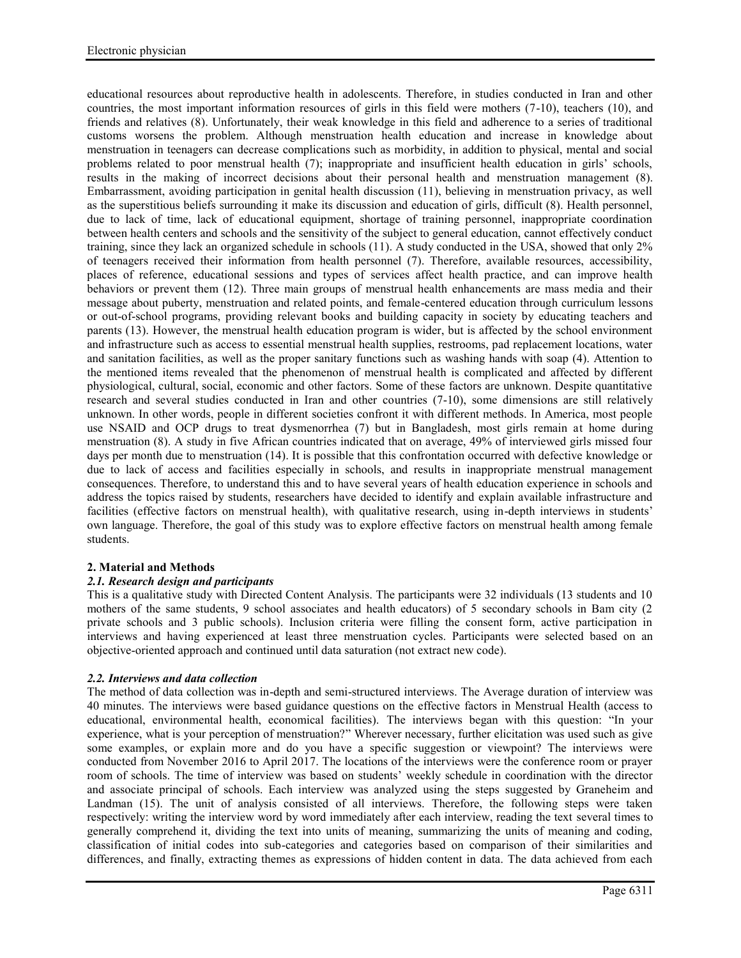educational resources about reproductive health in adolescents. Therefore, in studies conducted in Iran and other countries, the most important information resources of girls in this field were mothers (7-10), teachers (10), and friends and relatives (8). Unfortunately, their weak knowledge in this field and adherence to a series of traditional customs worsens the problem. Although menstruation health education and increase in knowledge about menstruation in teenagers can decrease complications such as morbidity, in addition to physical, mental and social problems related to poor menstrual health (7); inappropriate and insufficient health education in girls' schools, results in the making of incorrect decisions about their personal health and menstruation management (8). Embarrassment, avoiding participation in genital health discussion (11), believing in menstruation privacy, as well as the superstitious beliefs surrounding it make its discussion and education of girls, difficult (8). Health personnel, due to lack of time, lack of educational equipment, shortage of training personnel, inappropriate coordination between health centers and schools and the sensitivity of the subject to general education, cannot effectively conduct training, since they lack an organized schedule in schools (11). A study conducted in the USA, showed that only 2% of teenagers received their information from health personnel (7). Therefore, available resources, accessibility, places of reference, educational sessions and types of services affect health practice, and can improve health behaviors or prevent them (12). Three main groups of menstrual health enhancements are mass media and their message about puberty, menstruation and related points, and female-centered education through curriculum lessons or out-of-school programs, providing relevant books and building capacity in society by educating teachers and parents (13). However, the menstrual health education program is wider, but is affected by the school environment and infrastructure such as access to essential menstrual health supplies, restrooms, pad replacement locations, water and sanitation facilities, as well as the proper sanitary functions such as washing hands with soap (4). Attention to the mentioned items revealed that the phenomenon of menstrual health is complicated and affected by different physiological, cultural, social, economic and other factors. Some of these factors are unknown. Despite quantitative research and several studies conducted in Iran and other countries (7-10), some dimensions are still relatively unknown. In other words, people in different societies confront it with different methods. In America, most people use NSAID and OCP drugs to treat dysmenorrhea (7) but in Bangladesh, most girls remain at home during menstruation (8). A study in five African countries indicated that on average, 49% of interviewed girls missed four days per month due to menstruation (14). It is possible that this confrontation occurred with defective knowledge or due to lack of access and facilities especially in schools, and results in inappropriate menstrual management consequences. Therefore, to understand this and to have several years of health education experience in schools and address the topics raised by students, researchers have decided to identify and explain available infrastructure and facilities (effective factors on menstrual health), with qualitative research, using in-depth interviews in students' own language. Therefore, the goal of this study was to explore effective factors on menstrual health among female students.

## **2. Material and Methods**

## *2.1. Research design and participants*

This is a qualitative study with Directed Content Analysis. The participants were 32 individuals (13 students and 10 mothers of the same students, 9 school associates and health educators) of 5 secondary schools in Bam city (2 private schools and 3 public schools). Inclusion criteria were filling the consent form, active participation in interviews and having experienced at least three menstruation cycles. Participants were selected based on an objective-oriented approach and continued until data saturation (not extract new code).

## *2.2. Interviews and data collection*

The method of data collection was in-depth and semi-structured interviews. The Average duration of interview was 40 minutes. The interviews were based guidance questions on the effective factors in Menstrual Health (access to educational, environmental health, economical facilities). The interviews began with this question: "In your experience, what is your perception of menstruation?" Wherever necessary, further elicitation was used such as give some examples, or explain more and do you have a specific suggestion or viewpoint? The interviews were conducted from November 2016 to April 2017. The locations of the interviews were the conference room or prayer room of schools. The time of interview was based on students' weekly schedule in coordination with the director and associate principal of schools. Each interview was analyzed using the steps suggested by Graneheim and Landman (15). The unit of analysis consisted of all interviews. Therefore, the following steps were taken respectively: writing the interview word by word immediately after each interview, reading the text several times to generally comprehend it, dividing the text into units of meaning, summarizing the units of meaning and coding, classification of initial codes into sub-categories and categories based on comparison of their similarities and differences, and finally, extracting themes as expressions of hidden content in data. The data achieved from each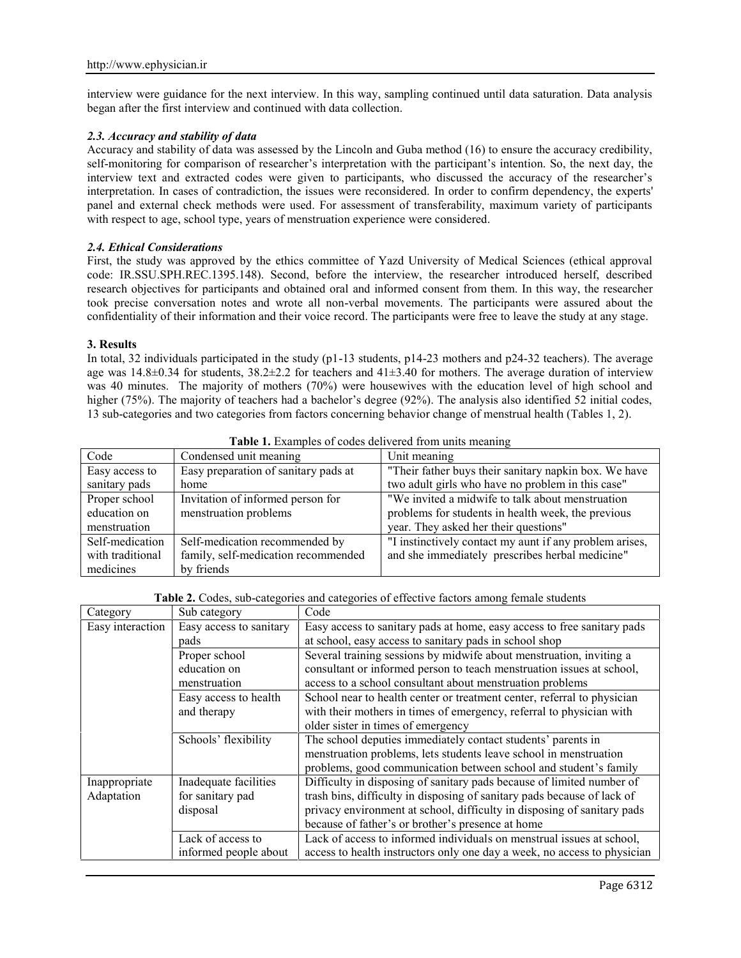interview were guidance for the next interview. In this way, sampling continued until data saturation. Data analysis began after the first interview and continued with data collection.

### *2.3. Accuracy and stability of data*

Accuracy and stability of data was assessed by the Lincoln and Guba method (16) to ensure the accuracy credibility, self-monitoring for comparison of researcher's interpretation with the participant's intention. So, the next day, the interview text and extracted codes were given to participants, who discussed the accuracy of the researcher's interpretation. In cases of contradiction, the issues were reconsidered. In order to confirm dependency, the experts' panel and external check methods were used. For assessment of transferability, maximum variety of participants with respect to age, school type, years of menstruation experience were considered.

### *2.4. Ethical Considerations*

First, the study was approved by the ethics committee of Yazd University of Medical Sciences (ethical approval code: IR.SSU.SPH.REC.1395.148). Second, before the interview, the researcher introduced herself, described research objectives for participants and obtained oral and informed consent from them. In this way, the researcher took precise conversation notes and wrote all non-verbal movements. The participants were assured about the confidentiality of their information and their voice record. The participants were free to leave the study at any stage.

### **3. Results**

In total, 32 individuals participated in the study  $(p1-13$  students,  $p14-23$  mothers and  $p24-32$  teachers). The average age was  $14.8\pm0.34$  for students,  $38.2\pm2.2$  for teachers and  $41\pm3.40$  for mothers. The average duration of interview was 40 minutes. The majority of mothers (70%) were housewives with the education level of high school and higher (75%). The majority of teachers had a bachelor's degree (92%). The analysis also identified 52 initial codes, 13 sub-categories and two categories from factors concerning behavior change of menstrual health (Tables 1, 2).

| Code             | Condensed unit meaning               | Unit meaning                                            |
|------------------|--------------------------------------|---------------------------------------------------------|
| Easy access to   | Easy preparation of sanitary pads at | "Their father buys their sanitary napkin box. We have   |
| sanitary pads    | home                                 | two adult girls who have no problem in this case"       |
| Proper school    | Invitation of informed person for    | "We invited a midwife to talk about menstruation        |
| education on     | menstruation problems                | problems for students in health week, the previous      |
| menstruation     |                                      | year. They asked her their questions"                   |
| Self-medication  | Self-medication recommended by       | "I instinctively contact my aunt if any problem arises, |
| with traditional | family, self-medication recommended  | and she immediately prescribes herbal medicine"         |
| medicines        | by friends                           |                                                         |

**Table 1.** Examples of codes delivered from units meaning

|  | Table 2. Codes, sub-categories and categories of effective factors among female students |  |
|--|------------------------------------------------------------------------------------------|--|
|  |                                                                                          |  |

| Category         | Sub category            | Code                                                                     |
|------------------|-------------------------|--------------------------------------------------------------------------|
| Easy interaction | Easy access to sanitary | Easy access to sanitary pads at home, easy access to free sanitary pads  |
|                  | pads                    | at school, easy access to sanitary pads in school shop                   |
|                  | Proper school           | Several training sessions by midwife about menstruation, inviting a      |
|                  | education on            | consultant or informed person to teach menstruation issues at school,    |
|                  | menstruation            | access to a school consultant about menstruation problems                |
|                  | Easy access to health   | School near to health center or treatment center, referral to physician  |
|                  | and therapy             | with their mothers in times of emergency, referral to physician with     |
|                  |                         | older sister in times of emergency                                       |
|                  | Schools' flexibility    | The school deputies immediately contact students' parents in             |
|                  |                         | menstruation problems, lets students leave school in menstruation        |
|                  |                         | problems, good communication between school and student's family         |
| Inappropriate    | Inadequate facilities   | Difficulty in disposing of sanitary pads because of limited number of    |
| Adaptation       | for sanitary pad        | trash bins, difficulty in disposing of sanitary pads because of lack of  |
|                  | disposal                | privacy environment at school, difficulty in disposing of sanitary pads  |
|                  |                         | because of father's or brother's presence at home                        |
|                  | Lack of access to       | Lack of access to informed individuals on menstrual issues at school,    |
|                  | informed people about   | access to health instructors only one day a week, no access to physician |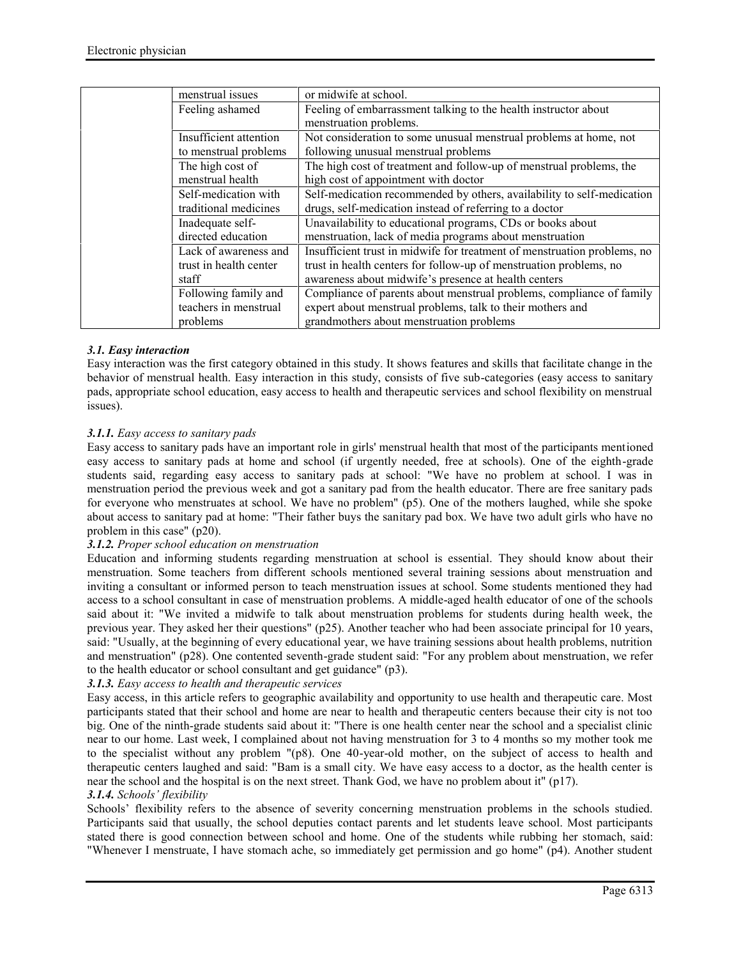| menstrual issues       | or midwife at school.                                                    |
|------------------------|--------------------------------------------------------------------------|
| Feeling ashamed        | Feeling of embarrassment talking to the health instructor about          |
|                        | menstruation problems.                                                   |
| Insufficient attention | Not consideration to some unusual menstrual problems at home, not        |
| to menstrual problems  | following unusual menstrual problems                                     |
| The high cost of       | The high cost of treatment and follow-up of menstrual problems, the      |
| menstrual health       | high cost of appointment with doctor                                     |
| Self-medication with   | Self-medication recommended by others, availability to self-medication   |
| traditional medicines  | drugs, self-medication instead of referring to a doctor                  |
| Inadequate self-       | Unavailability to educational programs, CDs or books about               |
| directed education     | menstruation, lack of media programs about menstruation                  |
| Lack of awareness and  | Insufficient trust in midwife for treatment of menstruation problems, no |
| trust in health center | trust in health centers for follow-up of menstruation problems, no       |
| staff                  | awareness about midwife's presence at health centers                     |
| Following family and   | Compliance of parents about menstrual problems, compliance of family     |
| teachers in menstrual  | expert about menstrual problems, talk to their mothers and               |
| problems               | grandmothers about menstruation problems                                 |

# *3.1. Easy interaction*

Easy interaction was the first category obtained in this study. It shows features and skills that facilitate change in the behavior of menstrual health. Easy interaction in this study, consists of five sub-categories (easy access to sanitary pads, appropriate school education, easy access to health and therapeutic services and school flexibility on menstrual issues).

# *3.1.1. Easy access to sanitary pads*

Easy access to sanitary pads have an important role in girls' menstrual health that most of the participants mentioned easy access to sanitary pads at home and school (if urgently needed, free at schools). One of the eighth-grade students said, regarding easy access to sanitary pads at school: "We have no problem at school. I was in menstruation period the previous week and got a sanitary pad from the health educator. There are free sanitary pads for everyone who menstruates at school. We have no problem" (p5). One of the mothers laughed, while she spoke about access to sanitary pad at home: "Their father buys the sanitary pad box. We have two adult girls who have no problem in this case" (p20).

## *3.1.2. Proper school education on menstruation*

Education and informing students regarding menstruation at school is essential. They should know about their menstruation. Some teachers from different schools mentioned several training sessions about menstruation and inviting a consultant or informed person to teach menstruation issues at school. Some students mentioned they had access to a school consultant in case of menstruation problems. A middle-aged health educator of one of the schools said about it: "We invited a midwife to talk about menstruation problems for students during health week, the previous year. They asked her their questions" (p25). Another teacher who had been associate principal for 10 years, said: "Usually, at the beginning of every educational year, we have training sessions about health problems, nutrition and menstruation" (p28). One contented seventh-grade student said: "For any problem about menstruation, we refer to the health educator or school consultant and get guidance" (p3).

## *3.1.3. Easy access to health and therapeutic services*

Easy access, in this article refers to geographic availability and opportunity to use health and therapeutic care. Most participants stated that their school and home are near to health and therapeutic centers because their city is not too big. One of the ninth-grade students said about it: "There is one health center near the school and a specialist clinic near to our home. Last week, I complained about not having menstruation for 3 to 4 months so my mother took me to the specialist without any problem "(p8). One 40-year-old mother, on the subject of access to health and therapeutic centers laughed and said: "Bam is a small city. We have easy access to a doctor, as the health center is near the school and the hospital is on the next street. Thank God, we have no problem about it" (p17).

### *3.1.4. Schools' flexibility*

Schools' flexibility refers to the absence of severity concerning menstruation problems in the schools studied. Participants said that usually, the school deputies contact parents and let students leave school. Most participants stated there is good connection between school and home. One of the students while rubbing her stomach, said: "Whenever I menstruate, I have stomach ache, so immediately get permission and go home" (p4). Another student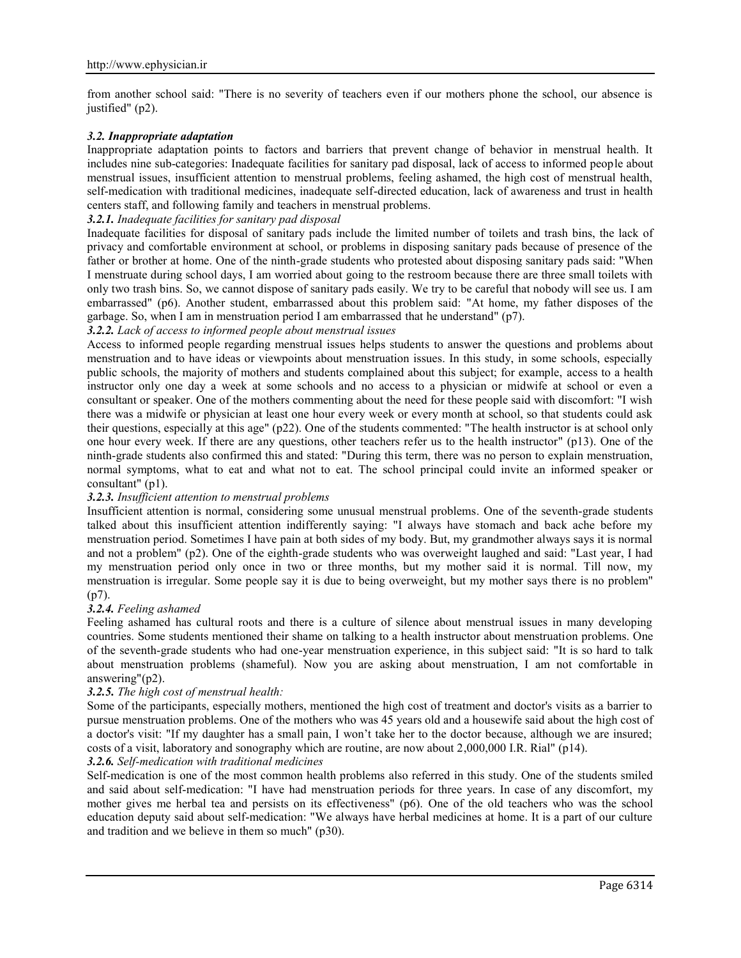from another school said: "There is no severity of teachers even if our mothers phone the school, our absence is justified" (p2).

### *3.2. Inappropriate adaptation*

Inappropriate adaptation points to factors and barriers that prevent change of behavior in menstrual health. It includes nine sub-categories: Inadequate facilities for sanitary pad disposal, lack of access to informed people about menstrual issues, insufficient attention to menstrual problems, feeling ashamed, the high cost of menstrual health, self-medication with traditional medicines, inadequate self-directed education, lack of awareness and trust in health centers staff, and following family and teachers in menstrual problems.

# *3.2.1. Inadequate facilities for sanitary pad disposal*

Inadequate facilities for disposal of sanitary pads include the limited number of toilets and trash bins, the lack of privacy and comfortable environment at school, or problems in disposing sanitary pads because of presence of the father or brother at home. One of the ninth-grade students who protested about disposing sanitary pads said: "When I menstruate during school days, I am worried about going to the restroom because there are three small toilets with only two trash bins. So, we cannot dispose of sanitary pads easily. We try to be careful that nobody will see us. I am embarrassed" (p6). Another student, embarrassed about this problem said: "At home, my father disposes of the garbage. So, when I am in menstruation period I am embarrassed that he understand" ( $p$ 7).

# *3.2.2. Lack of access to informed people about menstrual issues*

Access to informed people regarding menstrual issues helps students to answer the questions and problems about menstruation and to have ideas or viewpoints about menstruation issues. In this study, in some schools, especially public schools, the majority of mothers and students complained about this subject; for example, access to a health instructor only one day a week at some schools and no access to a physician or midwife at school or even a consultant or speaker. One of the mothers commenting about the need for these people said with discomfort: "I wish there was a midwife or physician at least one hour every week or every month at school, so that students could ask their questions, especially at this age" (p22). One of the students commented: "The health instructor is at school only one hour every week. If there are any questions, other teachers refer us to the health instructor" (p13). One of the ninth-grade students also confirmed this and stated: "During this term, there was no person to explain menstruation, normal symptoms, what to eat and what not to eat. The school principal could invite an informed speaker or consultant" (p1).

### *3.2.3. Insufficient attention to menstrual problems*

Insufficient attention is normal, considering some unusual menstrual problems. One of the seventh-grade students talked about this insufficient attention indifferently saying: "I always have stomach and back ache before my menstruation period. Sometimes I have pain at both sides of my body. But, my grandmother always says it is normal and not a problem" (p2). One of the eighth-grade students who was overweight laughed and said: "Last year, I had my menstruation period only once in two or three months, but my mother said it is normal. Till now, my menstruation is irregular. Some people say it is due to being overweight, but my mother says there is no problem" (p7).

### *3.2.4. Feeling ashamed*

Feeling ashamed has cultural roots and there is a culture of silence about menstrual issues in many developing countries. Some students mentioned their shame on talking to a health instructor about menstruation problems. One of the seventh-grade students who had one-year menstruation experience, in this subject said: "It is so hard to talk about menstruation problems (shameful). Now you are asking about menstruation, I am not comfortable in answering"(p2).

## *3.2.5. The high cost of menstrual health:*

Some of the participants, especially mothers, mentioned the high cost of treatment and doctor's visits as a barrier to pursue menstruation problems. One of the mothers who was 45 years old and a housewife said about the high cost of a doctor's visit: "If my daughter has a small pain, I won't take her to the doctor because, although we are insured; costs of a visit, laboratory and sonography which are routine, are now about 2,000,000 I.R. Rial" (p14).

# *3.2.6. Self-medication with traditional medicines*

Self-medication is one of the most common health problems also referred in this study. One of the students smiled and said about self-medication: "I have had menstruation periods for three years. In case of any discomfort, my mother gives me herbal tea and persists on its effectiveness" (p6). One of the old teachers who was the school education deputy said about self-medication: "We always have herbal medicines at home. It is a part of our culture and tradition and we believe in them so much" (p30).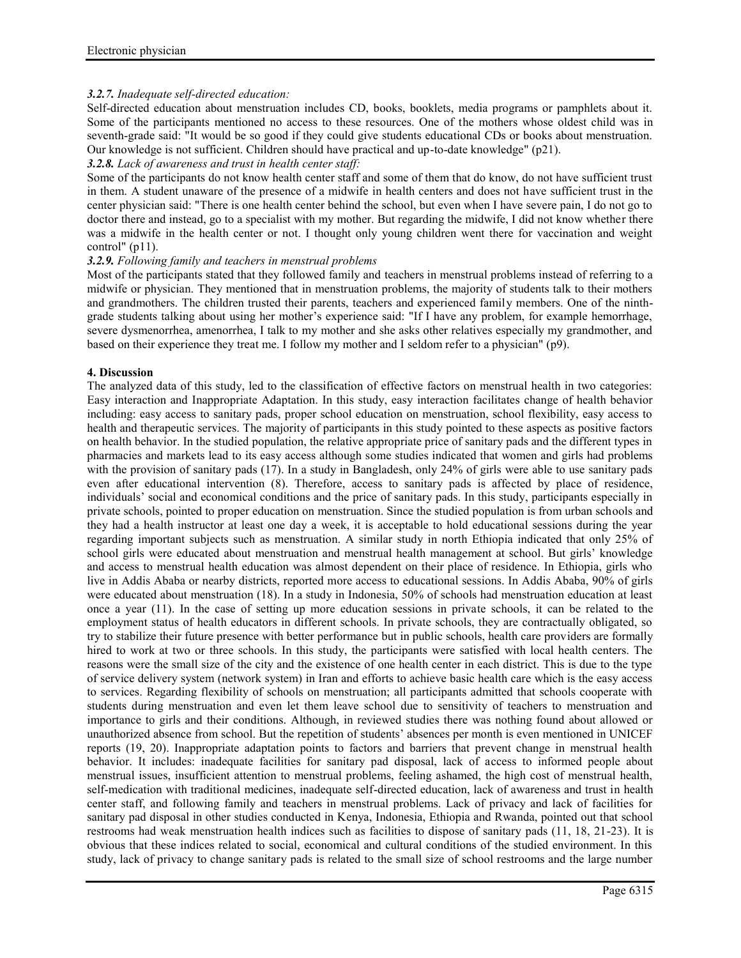# *3.2.7. Inadequate self-directed education:*

Self-directed education about menstruation includes CD, books, booklets, media programs or pamphlets about it. Some of the participants mentioned no access to these resources. One of the mothers whose oldest child was in seventh-grade said: "It would be so good if they could give students educational CDs or books about menstruation. Our knowledge is not sufficient. Children should have practical and up-to-date knowledge" (p21).

# *3.2.8. Lack of awareness and trust in health center staff:*

Some of the participants do not know health center staff and some of them that do know, do not have sufficient trust in them. A student unaware of the presence of a midwife in health centers and does not have sufficient trust in the center physician said: "There is one health center behind the school, but even when I have severe pain, I do not go to doctor there and instead, go to a specialist with my mother. But regarding the midwife, I did not know whether there was a midwife in the health center or not. I thought only young children went there for vaccination and weight control" (p11).

# *3.2.9. Following family and teachers in menstrual problems*

Most of the participants stated that they followed family and teachers in menstrual problems instead of referring to a midwife or physician. They mentioned that in menstruation problems, the majority of students talk to their mothers and grandmothers. The children trusted their parents, teachers and experienced family members. One of the ninth grade students talking about using her mother's experience said: "If I have any problem, for example hemorrhage, severe dysmenorrhea, amenorrhea, I talk to my mother and she asks other relatives especially my grandmother, and based on their experience they treat me. I follow my mother and I seldom refer to a physician" (p9).

### **4. Discussion**

The analyzed data of this study, led to the classification of effective factors on menstrual health in two categories: Easy interaction and Inappropriate Adaptation. In this study, easy interaction facilitates change of health behavior including: easy access to sanitary pads, proper school education on menstruation, school flexibility, easy access to health and therapeutic services. The majority of participants in this study pointed to these aspects as positive factors on health behavior. In the studied population, the relative appropriate price of sanitary pads and the different types in pharmacies and markets lead to its easy access although some studies indicated that women and girls had problems with the provision of sanitary pads (17). In a study in Bangladesh, only 24% of girls were able to use sanitary pads even after educational intervention (8). Therefore, access to sanitary pads is affected by place of residence, individuals' social and economical conditions and the price of sanitary pads. In this study, participants especially in private schools, pointed to proper education on menstruation. Since the studied population is from urban schools and they had a health instructor at least one day a week, it is acceptable to hold educational sessions during the year regarding important subjects such as menstruation. A similar study in north Ethiopia indicated that only 25% of school girls were educated about menstruation and menstrual health management at school. But girls' knowledge and access to menstrual health education was almost dependent on their place of residence. In Ethiopia, girls who live in Addis Ababa or nearby districts, reported more access to educational sessions. In Addis Ababa, 90% of girls were educated about menstruation (18). In a study in Indonesia, 50% of schools had menstruation education at least once a year (11). In the case of setting up more education sessions in private schools, it can be related to the employment status of health educators in different schools. In private schools, they are contractually obligated, so try to stabilize their future presence with better performance but in public schools, health care providers are formally hired to work at two or three schools. In this study, the participants were satisfied with local health centers. The reasons were the small size of the city and the existence of one health center in each district. This is due to the type of service delivery system (network system) in Iran and efforts to achieve basic health care which is the easy access to services. Regarding flexibility of schools on menstruation; all participants admitted that schools cooperate with students during menstruation and even let them leave school due to sensitivity of teachers to menstruation and importance to girls and their conditions. Although, in reviewed studies there was nothing found about allowed or unauthorized absence from school. But the repetition of students' absences per month is even mentioned in UNICEF reports (19, 20). Inappropriate adaptation points to factors and barriers that prevent change in menstrual health behavior. It includes: inadequate facilities for sanitary pad disposal, lack of access to informed people about menstrual issues, insufficient attention to menstrual problems, feeling ashamed, the high cost of menstrual health, self-medication with traditional medicines, inadequate self-directed education, lack of awareness and trust in health center staff, and following family and teachers in menstrual problems. Lack of privacy and lack of facilities for sanitary pad disposal in other studies conducted in Kenya, Indonesia, Ethiopia and Rwanda, pointed out that school restrooms had weak menstruation health indices such as facilities to dispose of sanitary pads (11, 18, 21-23). It is obvious that these indices related to social, economical and cultural conditions of the studied environment. In this study, lack of privacy to change sanitary pads is related to the small size of school restrooms and the large number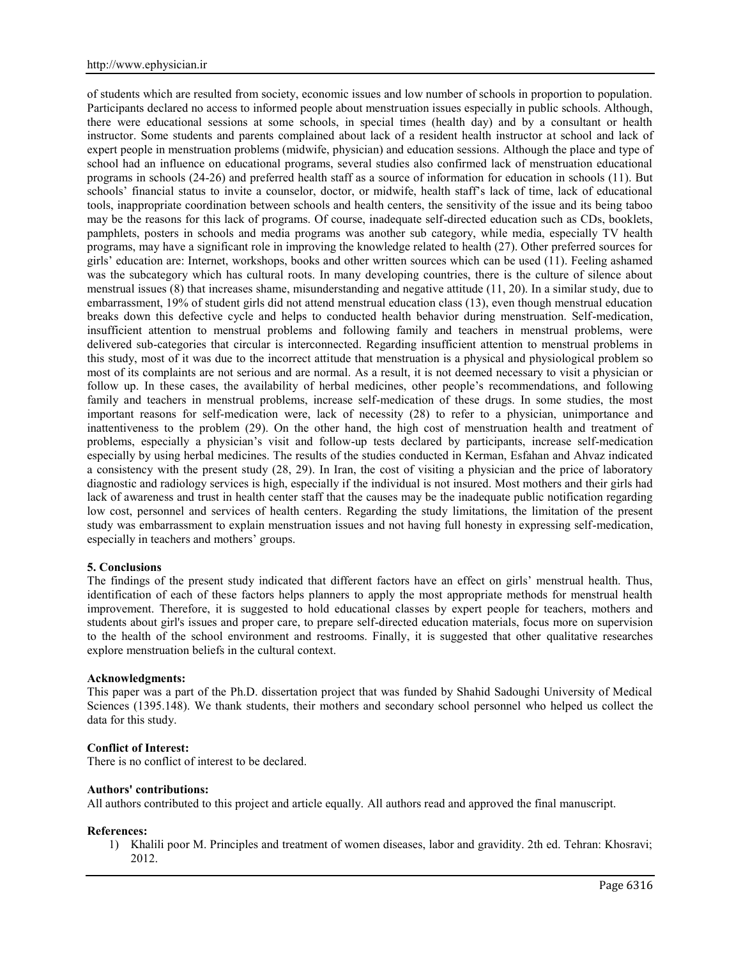of students which are resulted from society, economic issues and low number of schools in proportion to population. Participants declared no access to informed people about menstruation issues especially in public schools. Although, there were educational sessions at some schools, in special times (health day) and by a consultant or health instructor. Some students and parents complained about lack of a resident health instructor at school and lack of expert people in menstruation problems (midwife, physician) and education sessions. Although the place and type of school had an influence on educational programs, several studies also confirmed lack of menstruation educational programs in schools (24-26) and preferred health staff as a source of information for education in schools (11). But schools' financial status to invite a counselor, doctor, or midwife, health staff's lack of time, lack of educational tools, inappropriate coordination between schools and health centers, the sensitivity of the issue and its being taboo may be the reasons for this lack of programs. Of course, inadequate self-directed education such as CDs, booklets, pamphlets, posters in schools and media programs was another sub category, while media, especially TV health programs, may have a significant role in improving the knowledge related to health (27). Other preferred sources for girls' education are: Internet, workshops, books and other written sources which can be used (11). Feeling ashamed was the subcategory which has cultural roots. In many developing countries, there is the culture of silence about menstrual issues (8) that increases shame, misunderstanding and negative attitude (11, 20). In a similar study, due to embarrassment, 19% of student girls did not attend menstrual education class (13), even though menstrual education breaks down this defective cycle and helps to conducted health behavior during menstruation. Self-medication, insufficient attention to menstrual problems and following family and teachers in menstrual problems, were delivered sub-categories that circular is interconnected. Regarding insufficient attention to menstrual problems in this study, most of it was due to the incorrect attitude that menstruation is a physical and physiological problem so most of its complaints are not serious and are normal. As a result, it is not deemed necessary to visit a physician or follow up. In these cases, the availability of herbal medicines, other people's recommendations, and following family and teachers in menstrual problems, increase self-medication of these drugs. In some studies, the most important reasons for self-medication were, lack of necessity (28) to refer to a physician, unimportance and inattentiveness to the problem (29). On the other hand, the high cost of menstruation health and treatment of problems, especially a physician's visit and follow-up tests declared by participants, increase self-medication especially by using herbal medicines. The results of the studies conducted in Kerman, Esfahan and Ahvaz indicated a consistency with the present study (28, 29). In Iran, the cost of visiting a physician and the price of laboratory diagnostic and radiology services is high, especially if the individual is not insured. Most mothers and their girls had lack of awareness and trust in health center staff that the causes may be the inadequate public notification regarding low cost, personnel and services of health centers. Regarding the study limitations, the limitation of the present study was embarrassment to explain menstruation issues and not having full honesty in expressing self-medication, especially in teachers and mothers' groups.

### **5. Conclusions**

The findings of the present study indicated that different factors have an effect on girls' menstrual health. Thus, identification of each of these factors helps planners to apply the most appropriate methods for menstrual health improvement. Therefore, it is suggested to hold educational classes by expert people for teachers, mothers and students about girl's issues and proper care, to prepare self-directed education materials, focus more on supervision to the health of the school environment and restrooms. Finally, it is suggested that other qualitative researches explore menstruation beliefs in the cultural context.

### **Acknowledgments:**

This paper was a part of the Ph.D. dissertation project that was funded by Shahid Sadoughi University of Medical Sciences (1395.148). We thank students, their mothers and secondary school personnel who helped us collect the data for this study.

### **Conflict of Interest:**

There is no conflict of interest to be declared.

### **Authors' contributions:**

All authors contributed to this project and article equally. All authors read and approved the final manuscript.

### **References:**

1) Khalili poor M. Principles and treatment of women diseases, labor and gravidity. 2th ed. Tehran: Khosravi; 2012.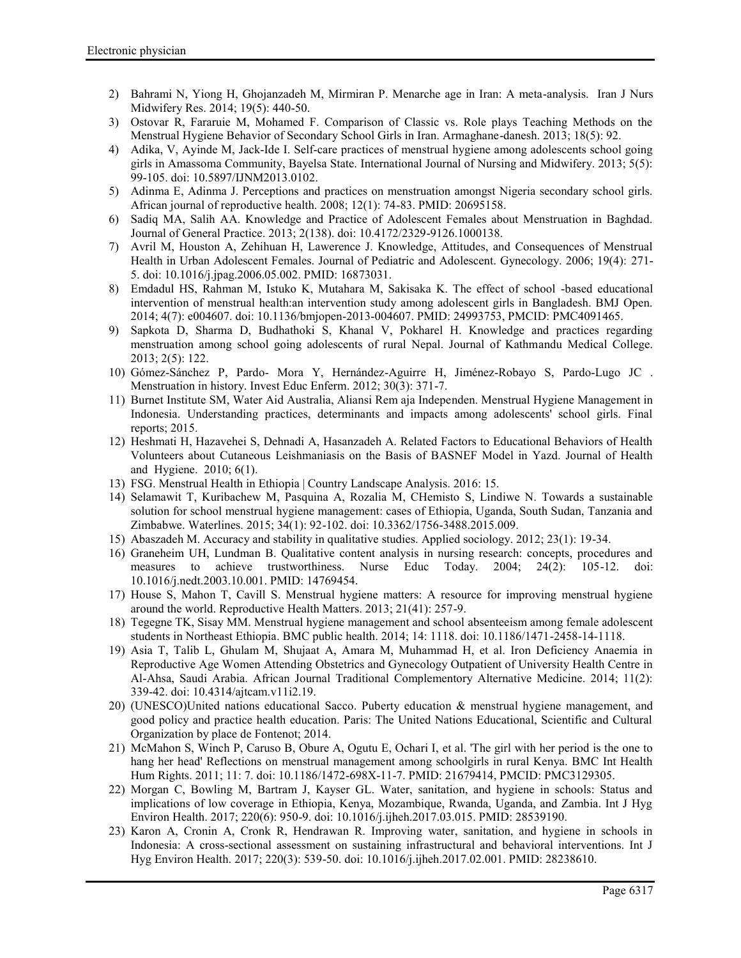- 2) Bahrami N, Yiong H, Ghojanzadeh M, Mirmiran P. Menarche age in Iran: A meta-analysis. Iran J Nurs Midwifery Res. 2014; 19(5): 440-50.
- 3) Ostovar R, Fararuie M, Mohamed F. Comparison of Classic vs. Role plays Teaching Methods on the Menstrual Hygiene Behavior of Secondary School Girls in Iran. Armaghane-danesh. 2013; 18(5): 92.
- 4) Adika, V, Ayinde M, Jack-Ide I. Self-care practices of menstrual hygiene among adolescents school going girls in Amassoma Community, Bayelsa State. International Journal of Nursing and Midwifery. 2013; 5(5): 99-105. doi: 10.5897/IJNM2013.0102.
- 5) Adinma E, Adinma J. Perceptions and practices on menstruation amongst Nigeria secondary school girls. African journal of reproductive health. 2008; 12(1): 74-83. PMID: 20695158.
- 6) Sadiq MA, Salih AA. Knowledge and Practice of Adolescent Females about Menstruation in Baghdad. Journal of General Practice. 2013; 2(138). doi: 10.4172/2329-9126.1000138.
- 7) Avril M, Houston A, Zehihuan H, Lawerence J. Knowledge, Attitudes, and Consequences of Menstrual Health in Urban Adolescent Females. Journal of Pediatric and Adolescent. Gynecology. 2006; 19(4): 271- 5. doi: 10.1016/j.jpag.2006.05.002. PMID: 16873031.
- 8) Emdadul HS, Rahman M, Istuko K, Mutahara M, Sakisaka K. The effect of school -based educational intervention of menstrual health:an intervention study among adolescent girls in Bangladesh. BMJ Open. 2014; 4(7): e004607. doi: 10.1136/bmjopen-2013-004607. PMID: 24993753, PMCID: PMC4091465.
- 9) Sapkota D, Sharma D, Budhathoki S, Khanal V, Pokharel H. Knowledge and practices regarding menstruation among school going adolescents of rural Nepal. Journal of Kathmandu Medical College. 2013; 2(5): 122.
- 10) Gómez-Sánchez P, Pardo- Mora Y, Hernández-Aguirre H, Jiménez-Robayo S, Pardo-Lugo JC . Menstruation in history. Invest Educ Enferm. 2012; 30(3): 371-7.
- 11) Burnet Institute SM, Water Aid Australia, Aliansi Rem aja Independen. Menstrual Hygiene Management in Indonesia. Understanding practices, determinants and impacts among adolescents' school girls. Final reports; 2015.
- 12) Heshmati H, Hazavehei S, Dehnadi A, Hasanzadeh A. Related Factors to Educational Behaviors of Health Volunteers about Cutaneous Leishmaniasis on the Basis of BASNEF Model in Yazd. Journal of Health and Hygiene. 2010; 6(1).
- 13) FSG. Menstrual Health in Ethiopia | Country Landscape Analysis. 2016: 15.
- 14) Selamawit T, Kuribachew M, Pasquina A, Rozalia M, CHemisto S, Lindiwe N. Towards a sustainable solution for school menstrual hygiene management: cases of Ethiopia, Uganda, South Sudan, Tanzania and Zimbabwe. Waterlines. 2015; 34(1): 92-102. doi: 10.3362/1756-3488.2015.009.
- 15) Abaszadeh M. Accuracy and stability in qualitative studies. Applied sociology. 2012; 23(1): 19-34.
- 16) Graneheim UH, Lundman B. Qualitative content analysis in nursing research: concepts, procedures and measures to achieve trustworthiness. Nurse Educ Today. 2004; 24(2): 105-12. doi: 10.1016/j.nedt.2003.10.001. PMID: 14769454.
- 17) House S, Mahon T, Cavill S. Menstrual hygiene matters: A resource for improving menstrual hygiene around the world. Reproductive Health Matters. 2013; 21(41): 257-9.
- 18) Tegegne TK, Sisay MM. Menstrual hygiene management and school absenteeism among female adolescent students in Northeast Ethiopia. BMC public health. 2014; 14: 1118. doi: 10.1186/1471-2458-14-1118.
- 19) Asia T, Talib L, Ghulam M, Shujaat A, Amara M, Muhammad H, et al. Iron Deficiency Anaemia in Reproductive Age Women Attending Obstetrics and Gynecology Outpatient of University Health Centre in Al-Ahsa, Saudi Arabia. African Journal Traditional Complementory Alternative Medicine. 2014; 11(2): 339-42. doi: 10.4314/ajtcam.v11i2.19.
- 20) (UNESCO)United nations educational Sacco. Puberty education & menstrual hygiene management, and good policy and practice health education. Paris: The United Nations Educational, Scientific and Cultural Organization by place de Fontenot; 2014.
- 21) McMahon S, Winch P, Caruso B, Obure A, Ogutu E, Ochari I, et al. 'The girl with her period is the one to hang her head' Reflections on menstrual management among schoolgirls in rural Kenya. BMC Int Health Hum Rights. 2011; 11: 7. doi: 10.1186/1472-698X-11-7. PMID: 21679414, PMCID: PMC3129305.
- 22) Morgan C, Bowling M, Bartram J, Kayser GL. Water, sanitation, and hygiene in schools: Status and implications of low coverage in Ethiopia, Kenya, Mozambique, Rwanda, Uganda, and Zambia. Int J Hyg Environ Health. 2017; 220(6): 950-9. doi: 10.1016/j.ijheh.2017.03.015. PMID: 28539190.
- 23) Karon A, Cronin A, Cronk R, Hendrawan R. Improving water, sanitation, and hygiene in schools in Indonesia: A cross-sectional assessment on sustaining infrastructural and behavioral interventions. Int J Hyg Environ Health. 2017; 220(3): 539-50. doi: 10.1016/j.ijheh.2017.02.001. PMID: 28238610.